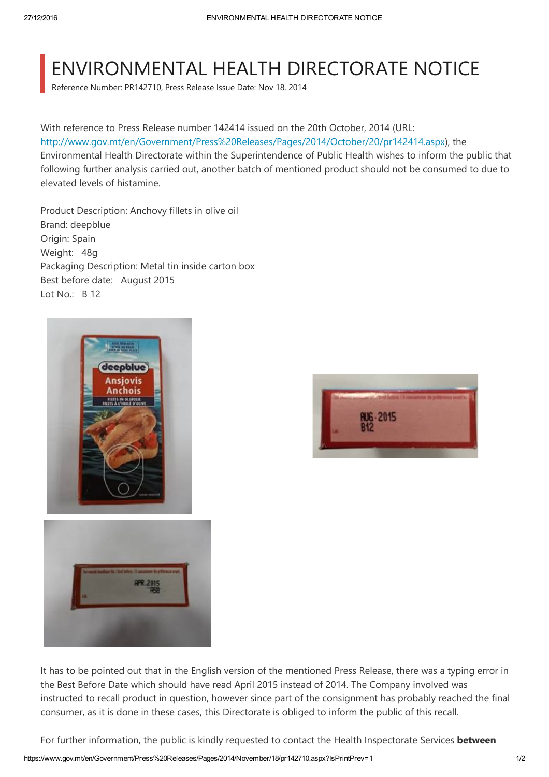## ENVIRONMENTAL HEALTH DIRECTORATE NOTICE

Reference Number: PR142710, Press Release Issue Date: Nov 18, 2014

## With reference to Press Release number 142414 issued on the 20th October, 2014 (URL:

[http://www.gov.mt/en/Government/Press%20Releases/Pages/2014/October/20/pr142414.aspx](https://www.gov.mt/en/Government/Press%20Releases/Pages/2014/October/20/pr142414.aspx)), the Environmental Health Directorate within the Superintendence of Public Health wishes to inform the public that following further analysis carried out, another batch of mentioned product should not be consumed to due to elevated levels of histamine.

Product Description: Anchovy fillets in olive oil Brand: deepblue Origin: Spain Weight: 48g Packaging Description: Metal tin inside carton box Best before date: August 2015 Lot No.: B 12







It has to be pointed out that in the English version of the mentioned Press Release, there was a typing error in the Best Before Date which should have read April 2015 instead of 2014. The Company involved was instructed to recall product in question, however since part of the consignment has probably reached the final consumer, as it is done in these cases, this Directorate is obliged to inform the public of this recall.

For further information, the public is kindly requested to contact the Health Inspectorate Services **between**